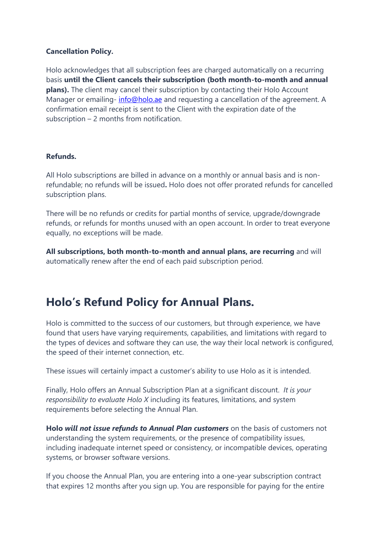## **Cancellation Policy.**

Holo acknowledges that all subscription fees are charged automatically on a recurring basis **until the Client cancels their subscription (both month-to-month and annual plans).** The client may cancel their subscription by contacting their Holo Account Manager or emailing- [info@holo.ae](mailto:info@holo.ae) and requesting a cancellation of the agreement. A confirmation email receipt is sent to the Client with the expiration date of the subscription – 2 months from notification.

## **Refunds.**

All Holo subscriptions are billed in advance on a monthly or annual basis and is nonrefundable; no refunds will be issued**.** Holo does not offer prorated refunds for cancelled subscription plans.

There will be no refunds or credits for partial months of service, upgrade/downgrade refunds, or refunds for months unused with an open account. In order to treat everyone equally, no exceptions will be made.

**All subscriptions, both month-to-month and annual plans, are recurring** and will automatically renew after the end of each paid subscription period.

## **Holo's Refund Policy for Annual Plans.**

Holo is committed to the success of our customers, but through experience, we have found that users have varying requirements, capabilities, and limitations with regard to the types of devices and software they can use, the way their local network is configured, the speed of their internet connection, etc.

These issues will certainly impact a customer's ability to use Holo as it is intended.

Finally, Holo offers an Annual Subscription Plan at a significant discount. *It is your responsibility to evaluate Holo X* including its features, limitations, and system requirements before selecting the Annual Plan.

**Holo** *will not issue refunds to Annual Plan customers* on the basis of customers not understanding the system requirements, or the presence of compatibility issues, including inadequate internet speed or consistency, or incompatible devices, operating systems, or browser software versions.

If you choose the Annual Plan, you are entering into a one-year subscription contract that expires 12 months after you sign up. You are responsible for paying for the entire